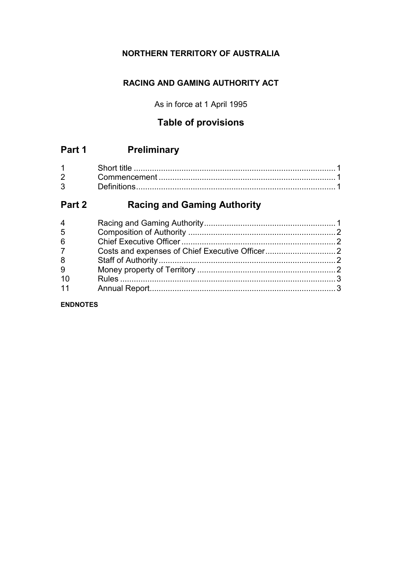# **NORTHERN TERRITORY OF AUSTRALIA**

# **RACING AND GAMING AUTHORITY ACT**

As in force at 1 April 1995

# **Table of provisions**

# **Part 1 Preliminary**

|              | Short L     |  |
|--------------|-------------|--|
| $2^{\circ}$  |             |  |
| $\mathbf{3}$ | Definitions |  |

# **Part 2 Racing and Gaming Authority**

| 4              |  |
|----------------|--|
| 5              |  |
| 6              |  |
| 7 <sup>1</sup> |  |
| 8              |  |
| 9              |  |
| 10             |  |
| 11             |  |

**ENDNOTES**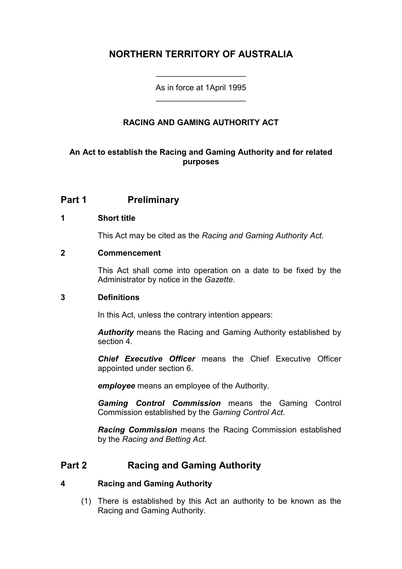# **NORTHERN TERRITORY OF AUSTRALIA**

As in force at 1April 1995 \_\_\_\_\_\_\_\_\_\_\_\_\_\_\_\_\_\_\_\_

\_\_\_\_\_\_\_\_\_\_\_\_\_\_\_\_\_\_\_\_

## **RACING AND GAMING AUTHORITY ACT**

#### **An Act to establish the Racing and Gaming Authority and for related purposes**

## **Part 1 Preliminary**

#### **1 Short title**

This Act may be cited as the *Racing and Gaming Authority Act*.

#### **2 Commencement**

This Act shall come into operation on a date to be fixed by the Administrator by notice in the *Gazette*.

#### **3 Definitions**

In this Act, unless the contrary intention appears:

*Authority* means the Racing and Gaming Authority established by section 4.

*Chief Executive Officer* means the Chief Executive Officer appointed under section 6.

*employee* means an employee of the Authority.

*Gaming Control Commission* means the Gaming Control Commission established by the *Gaming Control Act*.

*Racing Commission* means the Racing Commission established by the *Racing and Betting Act*.

## **Part 2 Racing and Gaming Authority**

#### **4 Racing and Gaming Authority**

(1) There is established by this Act an authority to be known as the Racing and Gaming Authority.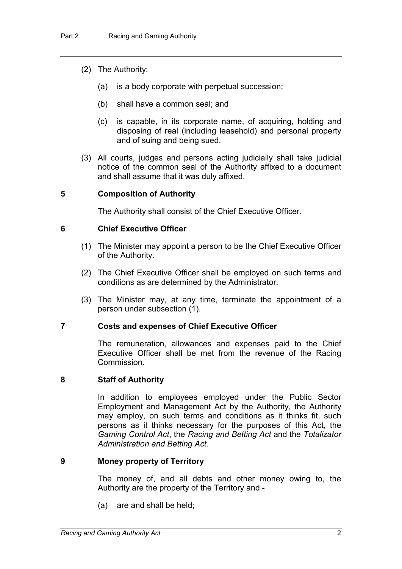- (2) The Authority:
	- (a) is a body corporate with perpetual succession;
	- (b) shall have a common seal; and
	- (c) is capable, in its corporate name, of acquiring, holding and disposing of real (including leasehold) and personal property and of suing and being sued.
- (3) All courts, judges and persons acting judicially shall take judicial notice of the common seal of the Authority affixed to a document and shall assume that it was duly affixed.

#### **5 Composition of Authority**

The Authority shall consist of the Chief Executive Officer.

#### **6 Chief Executive Officer**

- (1) The Minister may appoint a person to be the Chief Executive Officer of the Authority.
- (2) The Chief Executive Officer shall be employed on such terms and conditions as are determined by the Administrator.
- (3) The Minister may, at any time, terminate the appointment of a person under subsection (1).

#### **7 Costs and expenses of Chief Executive Officer**

The remuneration, allowances and expenses paid to the Chief Executive Officer shall be met from the revenue of the Racing **Commission** 

#### **8 Staff of Authority**

In addition to employees employed under the Public Sector Employment and Management Act by the Authority, the Authority may employ, on such terms and conditions as it thinks fit, such persons as it thinks necessary for the purposes of this Act, the *Gaming Control Act*, the *Racing and Betting Act* and the *Totalizator Administration and Betting Act*.

#### **9 Money property of Territory**

The money of, and all debts and other money owing to, the Authority are the property of the Territory and -

(a) are and shall be held;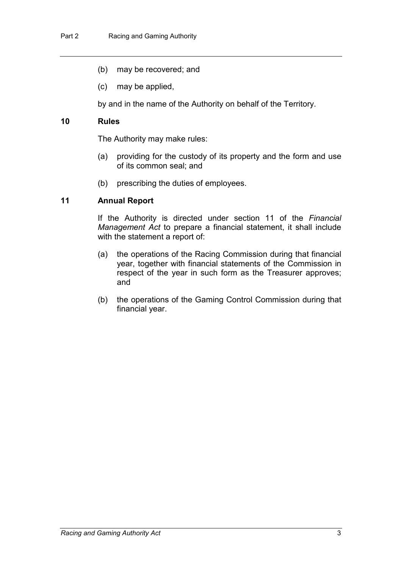- (b) may be recovered; and
- (c) may be applied,

by and in the name of the Authority on behalf of the Territory.

#### **10 Rules**

The Authority may make rules:

- (a) providing for the custody of its property and the form and use of its common seal; and
- (b) prescribing the duties of employees.

#### **11 Annual Report**

If the Authority is directed under section 11 of the *Financial Management Act* to prepare a financial statement, it shall include with the statement a report of:

- (a) the operations of the Racing Commission during that financial year, together with financial statements of the Commission in respect of the year in such form as the Treasurer approves; and
- (b) the operations of the Gaming Control Commission during that financial year.